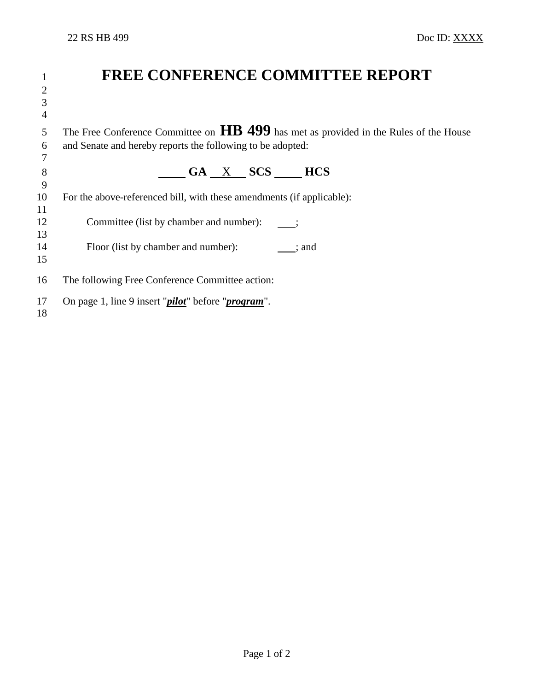|                | <b>FREE CONFERENCE COMMITTEE REPORT</b>                                                            |  |
|----------------|----------------------------------------------------------------------------------------------------|--|
| $\overline{2}$ |                                                                                                    |  |
| 3              |                                                                                                    |  |
| $\overline{4}$ |                                                                                                    |  |
| 5              | The Free Conference Committee on $\overline{HB}$ 499 has met as provided in the Rules of the House |  |
| 6              | and Senate and hereby reports the following to be adopted:                                         |  |
|                |                                                                                                    |  |
| 8              | GA X SCS<br><b>HCS</b>                                                                             |  |
| 9              |                                                                                                    |  |
| 10             | For the above-referenced bill, with these amendments (if applicable):                              |  |
| 11             |                                                                                                    |  |
| 12             | Committee (list by chamber and number):                                                            |  |
| 13             |                                                                                                    |  |
| 14             | Floor (list by chamber and number):<br>; and                                                       |  |
| 15             |                                                                                                    |  |
| 16             | The following Free Conference Committee action:                                                    |  |
| 17             | On page 1, line 9 insert " <i>pilot</i> " before " <i>program</i> ".                               |  |